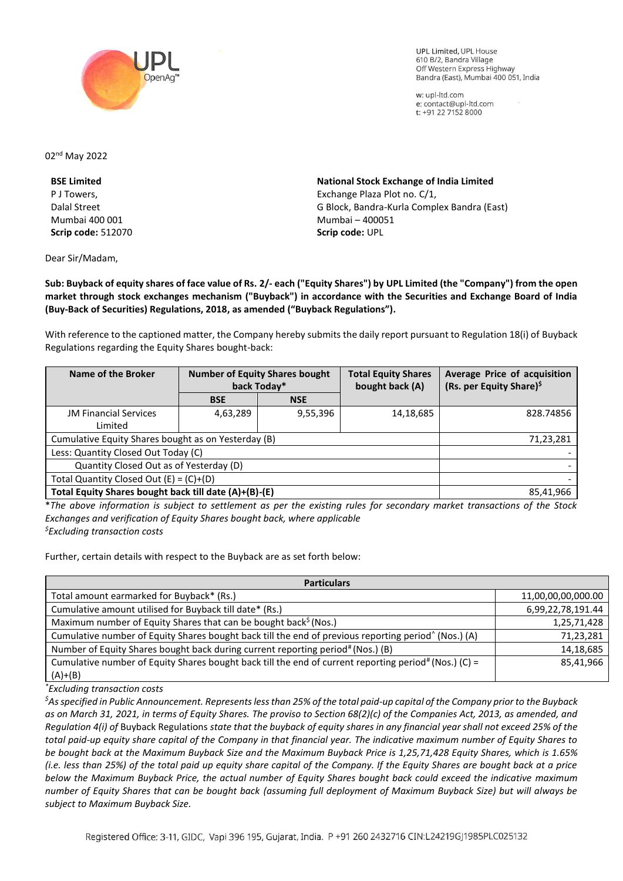

**UPL Limited. UPL House** 610 B/2, Bandra Village Off Western Express Highway Bandra (East), Mumbai 400 051, India

w: upl-ltd.com e: contact@upl-ltd.com t: +91 22 7152 8000

02nd May 2022

**BSE Limited**  P J Towers, Dalal Street Mumbai 400 001 **Scrip code:** 512070

Dear Sir/Madam,

**National Stock Exchange of India Limited**  Exchange Plaza Plot no. C/1, G Block, Bandra-Kurla Complex Bandra (East) Mumbai – 400051 **Scrip code:** UPL

**Sub: Buyback of equity shares of face value of Rs. 2/- each ("Equity Shares") by UPL Limited (the "Company") from the open market through stock exchanges mechanism ("Buyback") in accordance with the Securities and Exchange Board of India (Buy-Back of Securities) Regulations, 2018, as amended ("Buyback Regulations").**

With reference to the captioned matter, the Company hereby submits the daily report pursuant to Regulation 18(i) of Buyback Regulations regarding the Equity Shares bought-back:

| Name of the Broker                                    | <b>Number of Equity Shares bought</b><br>back Today* |            | <b>Total Equity Shares</b><br>bought back (A) | Average Price of acquisition<br>(Rs. per Equity Share) <sup>\$</sup> |
|-------------------------------------------------------|------------------------------------------------------|------------|-----------------------------------------------|----------------------------------------------------------------------|
|                                                       | <b>BSE</b>                                           | <b>NSE</b> |                                               |                                                                      |
| <b>JM Financial Services</b>                          | 4,63,289                                             | 9,55,396   | 14,18,685                                     | 828.74856                                                            |
| Limited                                               |                                                      |            |                                               |                                                                      |
| Cumulative Equity Shares bought as on Yesterday (B)   |                                                      |            |                                               | 71,23,281                                                            |
| Less: Quantity Closed Out Today (C)                   |                                                      |            |                                               |                                                                      |
| Quantity Closed Out as of Yesterday (D)               |                                                      |            |                                               |                                                                      |
| Total Quantity Closed Out $(E) = (C)+(D)$             |                                                      |            |                                               |                                                                      |
| Total Equity Shares bought back till date (A)+(B)-(E) |                                                      |            |                                               | 85,41,966                                                            |

\**The above information is subject to settlement as per the existing rules for secondary market transactions of the Stock Exchanges and verification of Equity Shares bought back, where applicable \$Excluding transaction costs*

Further, certain details with respect to the Buyback are as set forth below:

**Particulars** Total amount earmarked for Buyback\* (Rs.) 11,00,00,00,000.00 Cumulative amount utilised for Buyback till date\* (Rs.) 6,99,22,78,191.44 Maximum number of Equity Shares that can be bought back<sup>\$</sup> (Nos.)  $\blacksquare$  1,25,71,428 Cumulative number of Equity Shares bought back till the end of previous reporting period^ 71,23,281 Number of Equity Shares bought back during current reporting period<sup>#</sup> (Nos.) (B) 14,18,685 Cumulative number of Equity Shares bought back till the end of current reporting period# (Nos.) (C) =  $(A)+(B)$ 85,41,966

*\*Excluding transaction costs*

*\$As specified in Public Announcement. Represents less than 25% of the total paid-up capital of the Company prior to the Buyback as on March 31, 2021, in terms of Equity Shares. The proviso to Section 68(2)(c) of the Companies Act, 2013, as amended, and Regulation 4(i) of* Buyback Regulations *state that the buyback of equity shares in any financial year shall not exceed 25% of the total paid-up equity share capital of the Company in that financial year. The indicative maximum number of Equity Shares to be bought back at the Maximum Buyback Size and the Maximum Buyback Price is 1,25,71,428 Equity Shares, which is 1.65% (i.e. less than 25%) of the total paid up equity share capital of the Company. If the Equity Shares are bought back at a price below the Maximum Buyback Price, the actual number of Equity Shares bought back could exceed the indicative maximum number of Equity Shares that can be bought back (assuming full deployment of Maximum Buyback Size) but will always be subject to Maximum Buyback Size.*